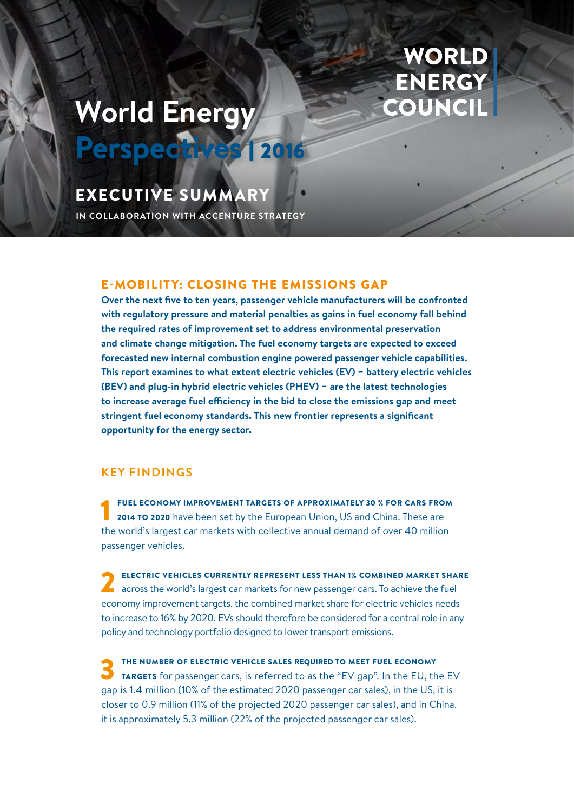# **World Energy**

## **WORLD** ENERGY OUNCIL

### EXECUTIVE SUMMARY

**IN COLLABORATION WITH ACCENTURE STRATEGY**

Perspectives | 2016

#### E-MOBILITY: CLOSING THE EMISSIONS GAP

**Over the next five to ten years, passenger vehicle manufacturers will be confronted with regulatory pressure and material penalties as gains in fuel economy fall behind the required rates of improvement set to address environmental preservation and climate change mitigation. The fuel economy targets are expected to exceed forecasted new internal combustion engine powered passenger vehicle capabilities. This report examines to what extent electric vehicles (EV) − battery electric vehicles (BEV) and plug-in hybrid electric vehicles (PHEV) − are the latest technologies to increase average fuel efficiency in the bid to close the emissions gap and meet stringent fuel economy standards. This new frontier represents a significant opportunity for the energy sector.**

#### **KEY FINDINGS**

FUEL ECONOMY IMPROVEMENT TARGETS OF APPROXIMATELY 30 % FOR CARS FROM 2014 TO 2020 have been set by the European Union, US and China. These are the world's largest car markets with collective annual demand of over 40 million passenger vehicles.

ELECTRIC VEHICLES CURRENTLY REPRESENT LESS THAN 1% COMBINED MARKET SHARE<br>across the world's largest car markets for new passenger cars. To achieve the fuel economy improvement targets, the combined market share for electric vehicles needs to increase to 16% by 2020. EVs should therefore be considered for a central role in any policy and technology portfolio designed to lower transport emissions.

THE NUMBER OF ELECTRIC VEHICLE SALES REQUIRED TO MEET FUEL ECONOMY<br>TARGETS for passenger cars, is referred to as the "EV gap". In the EU, the EV gap is 1.4 million (10% of the estimated 2020 passenger car sales), in the US, it is closer to 0.9 million (11% of the projected 2020 passenger car sales), and in China, it is approximately 5.3 million (22% of the projected passenger car sales).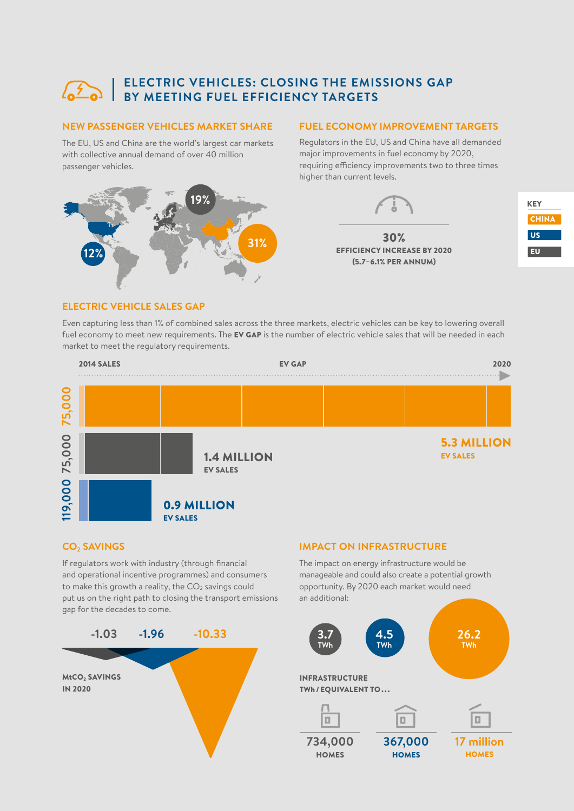### **ELECTRIC VEHICLES: CLOSING THE EMISSIONS GAP BY MEETING FUEL EFFICIENCY TARGETS**

#### **NEW PASSENGER VEHICLES MARKET SHARE FUEL ECONOMY IMPROVEMENT TARGETS**

The EU, US and China are the world's largest car markets with collective annual demand of over 40 million passenger vehicles.

# **31% 19% 12%**

Regulators in the EU, US and China have all demanded major improvements in fuel economy by 2020, requiring efficiency improvements two to three times higher than current levels.

(5.7–6.1% PER ANNUM)





#### **ELECTRIC VEHICLE SALES GAP**

Even capturing less than 1% of combined sales across the three markets, electric vehicles can be key to lowering overall fuel economy to meet new requirements. The EV GAP is the number of electric vehicle sales that will be needed in each market to meet the regulatory requirements.



#### **CO2 SAVINGS**

If regulators work with industry (through financial and operational incentive programmes) and consumers to make this growth a reality, the  $CO<sub>2</sub>$  savings could put us on the right path to closing the transport emissions gap for the decades to come.



#### **IMPACT ON INFRASTRUCTURE**

The impact on energy infrastructure would be manageable and could also create a potential growth opportunity. By 2020 each market would need an additional:

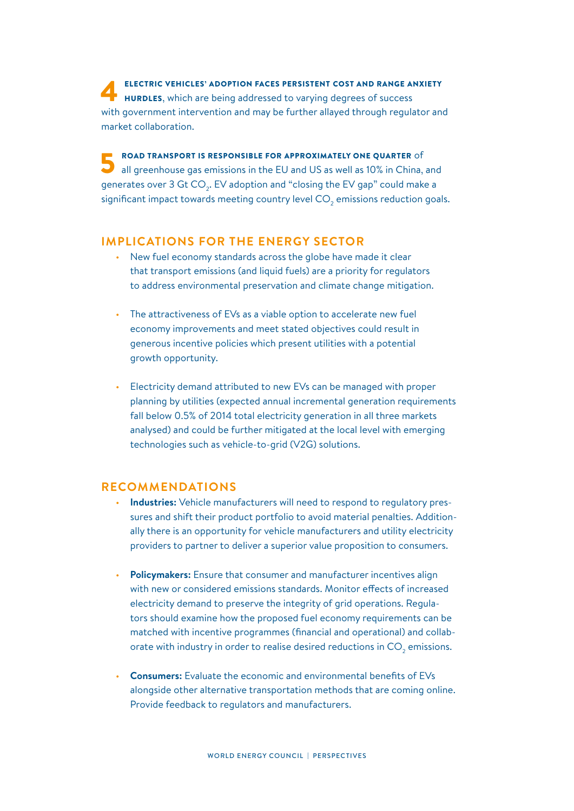ELECTRIC VEHICLES' ADOPTION FACES PERSISTENT COST AND RANGE ANXIETY<br>
HURDLES, which are being addressed to varying degrees of success with government intervention and may be further allayed through regulator and market collaboration.

**FOAD TRANSPORT IS RESPONSIBLE FOR APPROXIMATELY ONE QUARTER** of all greenhouse gas emissions in the EU and US as well as 10% in China, and generates over 3 Gt CO $_{_2}$ . EV adoption and "closing the EV gap" could make a significant impact towards meeting country level CO $_{_2}$  emissions reduction goals.

#### **IMPLICATIONS FOR THE ENERGY SECTOR**

- New fuel economy standards across the globe have made it clear that transport emissions (and liquid fuels) are a priority for regulators to address environmental preservation and climate change mitigation.
- The attractiveness of EVs as a viable option to accelerate new fuel economy improvements and meet stated objectives could result in generous incentive policies which present utilities with a potential growth opportunity.
- Electricity demand attributed to new EVs can be managed with proper planning by utilities (expected annual incremental generation requirements fall below 0.5% of 2014 total electricity generation in all three markets analysed) and could be further mitigated at the local level with emerging technologies such as vehicle-to-grid (V2G) solutions.

#### **RECOMMENDATIONS**

- **Industries:** Vehicle manufacturers will need to respond to regulatory pressures and shift their product portfolio to avoid material penalties. Additionally there is an opportunity for vehicle manufacturers and utility electricity providers to partner to deliver a superior value proposition to consumers.
- **Policymakers:** Ensure that consumer and manufacturer incentives align with new or considered emissions standards. Monitor effects of increased electricity demand to preserve the integrity of grid operations. Regulators should examine how the proposed fuel economy requirements can be matched with incentive programmes (financial and operational) and collaborate with industry in order to realise desired reductions in CO $_2$  emissions.
- **Consumers:** Evaluate the economic and environmental benefits of EVs alongside other alternative transportation methods that are coming online. Provide feedback to regulators and manufacturers.